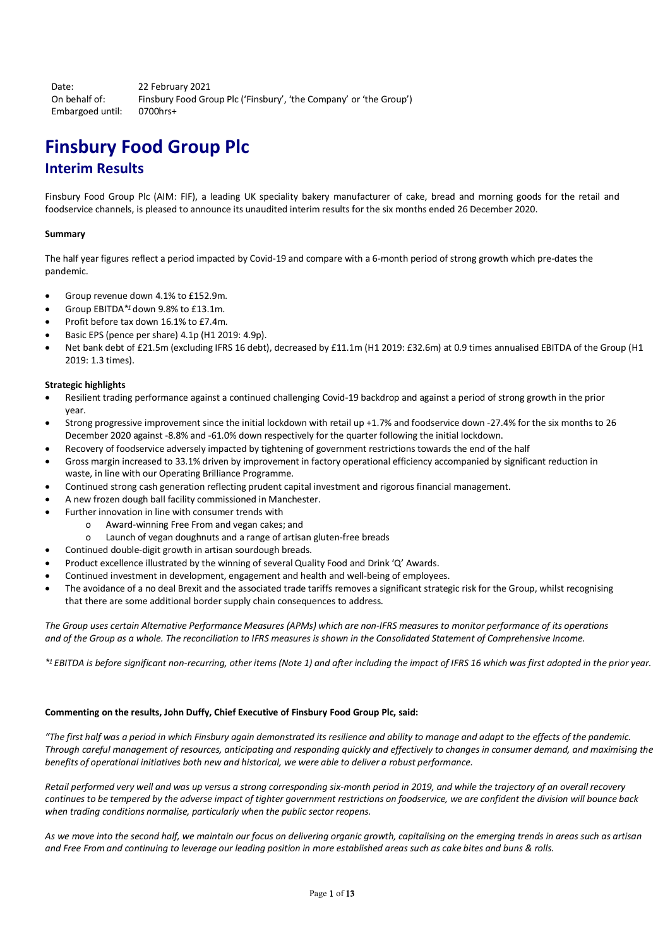Date: 22 February 2021 On behalf of: Finsbury Food Group Plc ('Finsbury', 'the Company' or 'the Group') Embargoed until: 0700hrs+

# **Finsbury Food Group Plc Interim Results**

Finsbury Food Group Plc (AIM: FIF), a leading UK speciality bakery manufacturer of cake, bread and morning goods for the retail and foodservice channels, is pleased to announce its unaudited interim results for the six months ended 26 December 2020.

### **Summary**

The half year figures reflect a period impacted by Covid-19 and compare with a 6-month period of strong growth which pre-dates the pandemic.

- Group revenue down 4.1% to £152.9m.
- Group EBITDA*\*1* down 9.8% to £13.1m.
- Profit before tax down 16.1% to £7.4m.
- Basic EPS (pence per share) 4.1p (H1 2019: 4.9p).
- Net bank debt of £21.5m (excluding IFRS 16 debt), decreased by £11.1m (H1 2019: £32.6m) at 0.9 times annualised EBITDA of the Group (H1 2019: 1.3 times).

### **Strategic highlights**

- Resilient trading performance against a continued challenging Covid-19 backdrop and against a period of strong growth in the prior year.
- Strong progressive improvement since the initial lockdown with retail up +1.7% and foodservice down -27.4% for the six months to 26 December 2020 against -8.8% and -61.0% down respectively for the quarter following the initial lockdown.
- Recovery of foodservice adversely impacted by tightening of government restrictions towards the end of the half
- Gross margin increased to 33.1% driven by improvement in factory operational efficiency accompanied by significant reduction in waste, in line with our Operating Brilliance Programme.
- Continued strong cash generation reflecting prudent capital investment and rigorous financial management.
- A new frozen dough ball facility commissioned in Manchester.
- Further innovation in line with consumer trends with
	- o Award-winning Free From and vegan cakes; and
	- o Launch of vegan doughnuts and a range of artisan gluten-free breads
- Continued double-digit growth in artisan sourdough breads.
- Product excellence illustrated by the winning of several Quality Food and Drink 'Q' Awards.
- Continued investment in development, engagement and health and well-being of employees.
- The avoidance of a no deal Brexit and the associated trade tariffs removes a significant strategic risk for the Group, whilst recognising that there are some additional border supply chain consequences to address.

*The Group uses certain Alternative Performance Measures (APMs) which are non-IFRS measures to monitor performance of its operations and of the Group as a whole. The reconciliation to IFRS measures is shown in the Consolidated Statement of Comprehensive Income.*

*\*<sup>1</sup> EBITDA is before significant non-recurring, other items (Note 1) and after including the impact of IFRS 16 which was first adopted in the prior year.*

### **Commenting on the results, John Duffy, Chief Executive of Finsbury Food Group Plc, said:**

*"The first half was a period in which Finsbury again demonstrated its resilience and ability to manage and adapt to the effects of the pandemic. Through careful management of resources, anticipating and responding quickly and effectively to changes in consumer demand, and maximising the benefits of operational initiatives both new and historical, we were able to deliver a robust performance.*

*Retail performed very well and was up versus a strong corresponding six-month period in 2019, and while the trajectory of an overall recovery continues to be tempered by the adverse impact of tighter government restrictions on foodservice, we are confident the division will bounce back when trading conditions normalise, particularly when the public sector reopens.*

*As we move into the second half, we maintain our focus on delivering organic growth, capitalising on the emerging trends in areas such as artisan and Free From and continuing to leverage our leading position in more established areas such as cake bites and buns & rolls.*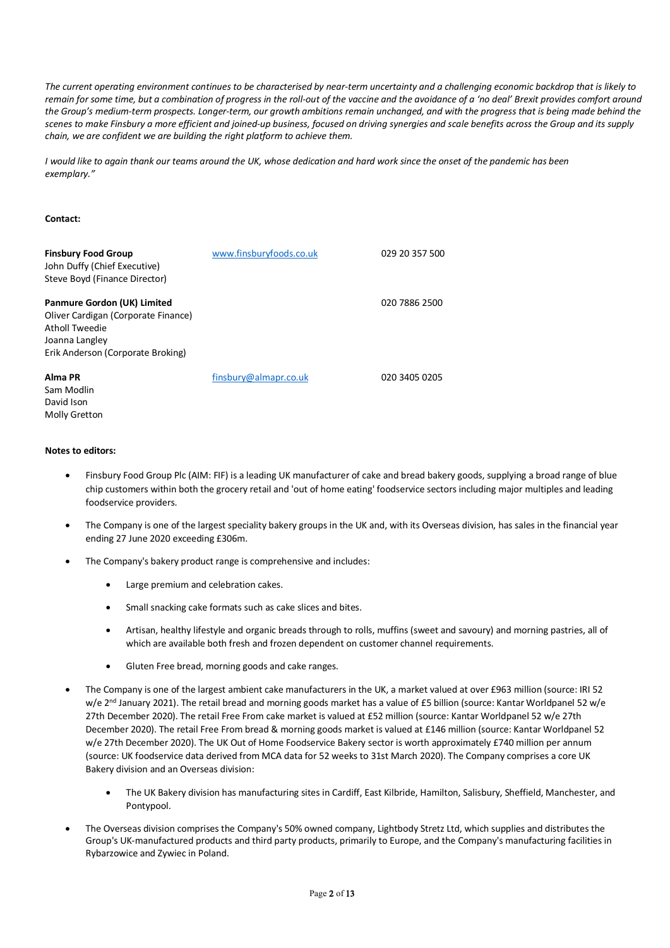*The current operating environment continues to be characterised by near-term uncertainty and a challenging economic backdrop that is likely to remain for some time, but a combination of progress in the roll-out of the vaccine and the avoidance of a 'no deal' Brexit provides comfort around the Group's medium-term prospects. Longer-term, our growth ambitions remain unchanged, and with the progress that is being made behind the scenes to make Finsbury a more efficient and joined-up business, focused on driving synergies and scale benefits across the Group and its supply chain, we are confident we are building the right platform to achieve them.*

*I would like to again thank our teams around the UK, whose dedication and hard work since the onset of the pandemic has been exemplary."*

### **Contact:**

| <b>Finsbury Food Group</b><br>John Duffy (Chief Executive)<br>Steve Boyd (Finance Director)                                                 | www.finsburyfoods.co.uk | 029 20 357 500 |
|---------------------------------------------------------------------------------------------------------------------------------------------|-------------------------|----------------|
| Panmure Gordon (UK) Limited<br>Oliver Cardigan (Corporate Finance)<br>Atholl Tweedie<br>Joanna Langley<br>Erik Anderson (Corporate Broking) |                         | 020 7886 2500  |
| Alma PR<br>Sam Modlin                                                                                                                       | finsbury@almapr.co.uk   | 020 3405 0205  |

### **Notes to editors:**

David Ison Molly Gretton

- Finsbury Food Group Plc (AIM: FIF) is a leading UK manufacturer of cake and bread bakery goods, supplying a broad range of blue chip customers within both the grocery retail and 'out of home eating' foodservice sectors including major multiples and leading foodservice providers.
- The Company is one of the largest speciality bakery groups in the UK and, with its Overseas division, has sales in the financial year ending 27 June 2020 exceeding £306m.
- The Company's bakery product range is comprehensive and includes:
	- Large premium and celebration cakes.
	- Small snacking cake formats such as cake slices and bites.
	- Artisan, healthy lifestyle and organic breads through to rolls, muffins (sweet and savoury) and morning pastries, all of which are available both fresh and frozen dependent on customer channel requirements.
	- Gluten Free bread, morning goods and cake ranges.
- The Company is one of the largest ambient cake manufacturers in the UK, a market valued at over £963 million (source: IRI 52 w/e 2<sup>nd</sup> January 2021). The retail bread and morning goods market has a value of £5 billion (source: Kantar Worldpanel 52 w/e 27th December 2020). The retail Free From cake market is valued at £52 million (source: Kantar Worldpanel 52 w/e 27th December 2020). The retail Free From bread & morning goods market is valued at £146 million (source: Kantar Worldpanel 52 w/e 27th December 2020). The UK Out of Home Foodservice Bakery sector is worth approximately £740 million per annum (source: UK foodservice data derived from MCA data for 52 weeks to 31st March 2020). The Company comprises a core UK Bakery division and an Overseas division:
	- The UK Bakery division has manufacturing sites in Cardiff, East Kilbride, Hamilton, Salisbury, Sheffield, Manchester, and Pontypool.
- The Overseas division comprises the Company's 50% owned company, Lightbody Stretz Ltd, which supplies and distributes the Group's UK-manufactured products and third party products, primarily to Europe, and the Company's manufacturing facilities in Rybarzowice and Zywiec in Poland.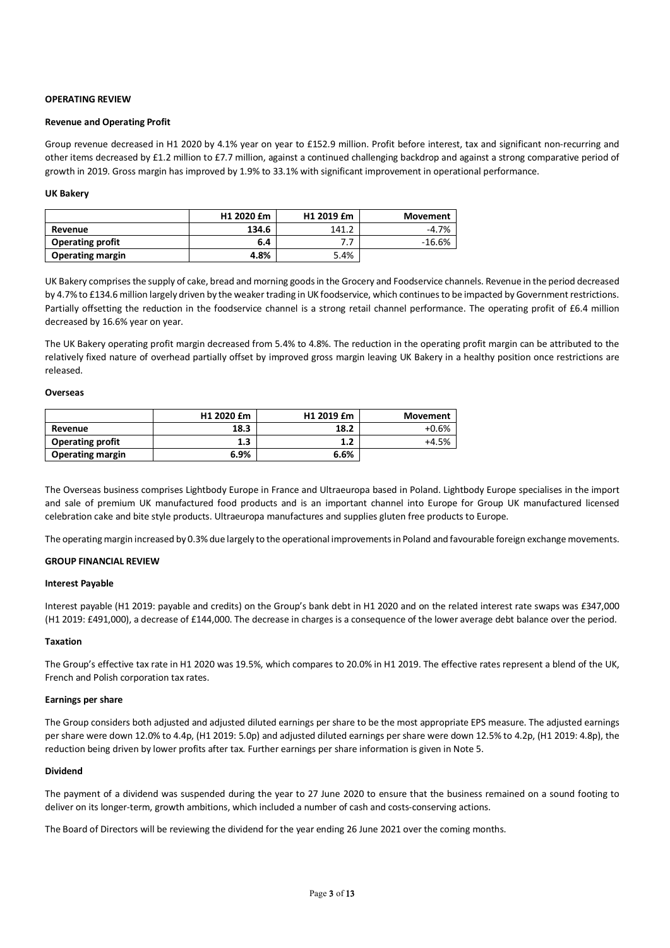### **OPERATING REVIEW**

### **Revenue and Operating Profit**

Group revenue decreased in H1 2020 by 4.1% year on year to £152.9 million. Profit before interest, tax and significant non-recurring and other items decreased by £1.2 million to £7.7 million, against a continued challenging backdrop and against a strong comparative period of growth in 2019. Gross margin has improved by 1.9% to 33.1% with significant improvement in operational performance.

### **UK Bakery**

|                         | H1 2020 £m | H1 2019 £m | Movement |
|-------------------------|------------|------------|----------|
| Revenue                 | 134.6      | 141.2      | $-4.7%$  |
| <b>Operating profit</b> | 6.4        |            | $-16.6%$ |
| <b>Operating margin</b> | 4.8%       | 5.4%       |          |

UK Bakery comprises the supply of cake, bread and morning goods in the Grocery and Foodservice channels. Revenue in the period decreased by 4.7% to £134.6 million largely driven by the weaker trading in UK foodservice, which continues to be impacted by Government restrictions. Partially offsetting the reduction in the foodservice channel is a strong retail channel performance. The operating profit of £6.4 million decreased by 16.6% year on year.

The UK Bakery operating profit margin decreased from 5.4% to 4.8%. The reduction in the operating profit margin can be attributed to the relatively fixed nature of overhead partially offset by improved gross margin leaving UK Bakery in a healthy position once restrictions are released.

### **Overseas**

|                         | H1 2020 £m | H1 2019 £m | Movement |
|-------------------------|------------|------------|----------|
| Revenue                 | 18.3       | 18.2       | $+0.6%$  |
| <b>Operating profit</b> | 1.3        | 1.2        | +4.5%    |
| <b>Operating margin</b> | 6.9%       | 6.6%       |          |

The Overseas business comprises Lightbody Europe in France and Ultraeuropa based in Poland. Lightbody Europe specialises in the import and sale of premium UK manufactured food products and is an important channel into Europe for Group UK manufactured licensed celebration cake and bite style products. Ultraeuropa manufactures and supplies gluten free products to Europe.

The operating margin increased by 0.3% due largely to the operational improvements in Poland and favourable foreign exchange movements.

### **GROUP FINANCIAL REVIEW**

### **Interest Payable**

Interest payable (H1 2019: payable and credits) on the Group's bank debt in H1 2020 and on the related interest rate swaps was £347,000 (H1 2019: £491,000), a decrease of £144,000. The decrease in charges is a consequence of the lower average debt balance over the period.

### **Taxation**

The Group's effective tax rate in H1 2020 was 19.5%, which compares to 20.0% in H1 2019. The effective rates represent a blend of the UK, French and Polish corporation tax rates.

### **Earnings per share**

The Group considers both adjusted and adjusted diluted earnings per share to be the most appropriate EPS measure. The adjusted earnings per share were down 12.0% to 4.4p, (H1 2019: 5.0p) and adjusted diluted earnings per share were down 12.5% to 4.2p, (H1 2019: 4.8p), the reduction being driven by lower profits after tax. Further earnings per share information is given in Note 5.

### **Dividend**

The payment of a dividend was suspended during the year to 27 June 2020 to ensure that the business remained on a sound footing to deliver on its longer-term, growth ambitions, which included a number of cash and costs-conserving actions.

The Board of Directors will be reviewing the dividend for the year ending 26 June 2021 over the coming months.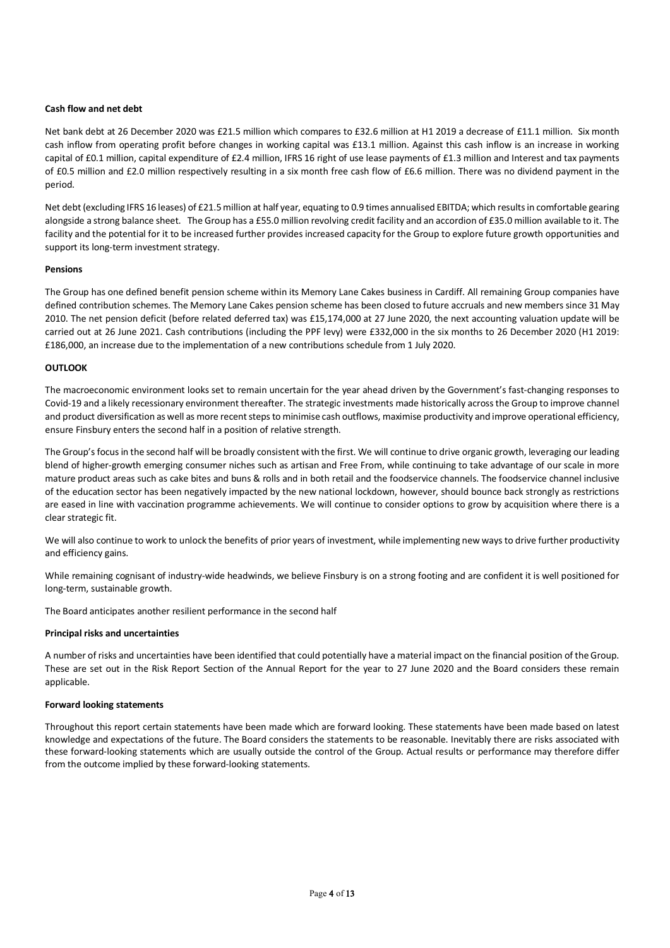### **Cash flow and net debt**

Net bank debt at 26 December 2020 was £21.5 million which compares to £32.6 million at H1 2019 a decrease of £11.1 million. Six month cash inflow from operating profit before changes in working capital was £13.1 million. Against this cash inflow is an increase in working capital of £0.1 million, capital expenditure of £2.4 million, IFRS 16 right of use lease payments of £1.3 million and Interest and tax payments of £0.5 million and £2.0 million respectively resulting in a six month free cash flow of £6.6 million. There was no dividend payment in the period.

Net debt (excluding IFRS 16 leases) of £21.5 million at half year, equating to 0.9 times annualised EBITDA; which results in comfortable gearing alongside a strong balance sheet. The Group has a £55.0 million revolving credit facility and an accordion of £35.0 million available to it. The facility and the potential for it to be increased further provides increased capacity for the Group to explore future growth opportunities and support its long-term investment strategy.

### **Pensions**

The Group has one defined benefit pension scheme within its Memory Lane Cakes business in Cardiff. All remaining Group companies have defined contribution schemes. The Memory Lane Cakes pension scheme has been closed to future accruals and new members since 31 May 2010. The net pension deficit (before related deferred tax) was £15,174,000 at 27 June 2020, the next accounting valuation update will be carried out at 26 June 2021. Cash contributions (including the PPF levy) were £332,000 in the six months to 26 December 2020 (H1 2019: £186,000, an increase due to the implementation of a new contributions schedule from 1 July 2020.

### **OUTLOOK**

The macroeconomic environment looks set to remain uncertain for the year ahead driven by the Government's fast-changing responses to Covid-19 and a likely recessionary environment thereafter. The strategic investments made historically across the Group to improve channel and product diversification as well as more recent steps to minimise cash outflows, maximise productivity and improve operational efficiency, ensure Finsbury enters the second half in a position of relative strength.

The Group's focus in the second half will be broadly consistent with the first. We will continue to drive organic growth, leveraging our leading blend of higher-growth emerging consumer niches such as artisan and Free From, while continuing to take advantage of our scale in more mature product areas such as cake bites and buns & rolls and in both retail and the foodservice channels. The foodservice channel inclusive of the education sector has been negatively impacted by the new national lockdown, however, should bounce back strongly as restrictions are eased in line with vaccination programme achievements. We will continue to consider options to grow by acquisition where there is a clear strategic fit.

We will also continue to work to unlock the benefits of prior years of investment, while implementing new ways to drive further productivity and efficiency gains.

While remaining cognisant of industry-wide headwinds, we believe Finsbury is on a strong footing and are confident it is well positioned for long-term, sustainable growth.

The Board anticipates another resilient performance in the second half

### **Principal risks and uncertainties**

A number of risks and uncertainties have been identified that could potentially have a material impact on the financial position of the Group. These are set out in the Risk Report Section of the Annual Report for the year to 27 June 2020 and the Board considers these remain applicable.

### **Forward looking statements**

Throughout this report certain statements have been made which are forward looking. These statements have been made based on latest knowledge and expectations of the future. The Board considers the statements to be reasonable. Inevitably there are risks associated with these forward-looking statements which are usually outside the control of the Group. Actual results or performance may therefore differ from the outcome implied by these forward-looking statements.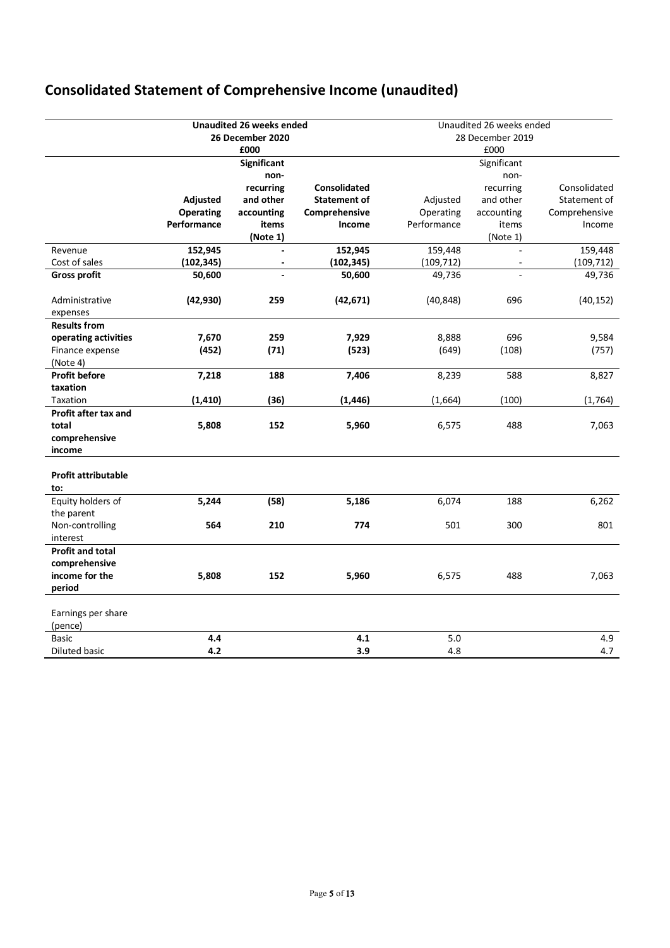# **Consolidated Statement of Comprehensive Income (unaudited)**

|                             |                  | <b>Unaudited 26 weeks ended</b><br>26 December 2020 |                     | Unaudited 26 weeks ended<br>28 December 2019 |                |               |
|-----------------------------|------------------|-----------------------------------------------------|---------------------|----------------------------------------------|----------------|---------------|
|                             |                  | £000                                                |                     |                                              | £000           |               |
|                             |                  | <b>Significant</b>                                  |                     |                                              | Significant    |               |
|                             |                  | non-                                                |                     |                                              | non-           |               |
|                             |                  | recurring                                           | <b>Consolidated</b> |                                              | recurring      | Consolidated  |
|                             | Adjusted         | and other                                           | Statement of        | Adjusted                                     | and other      | Statement of  |
|                             | <b>Operating</b> | accounting                                          | Comprehensive       | Operating                                    | accounting     | Comprehensive |
|                             | Performance      | items                                               | Income              | Performance                                  | items          | Income        |
|                             |                  | (Note 1)                                            |                     |                                              | (Note 1)       |               |
| Revenue                     | 152,945          | $\overline{\phantom{a}}$                            | 152,945             | 159,448                                      | $\overline{a}$ | 159,448       |
| Cost of sales               | (102, 345)       | $\qquad \qquad \blacksquare$                        | (102, 345)          | (109, 712)                                   |                | (109, 712)    |
| <b>Gross profit</b>         | 50,600           |                                                     | 50,600              | 49,736                                       |                | 49,736        |
| Administrative<br>expenses  | (42, 930)        | 259                                                 | (42, 671)           | (40, 848)                                    | 696            | (40, 152)     |
| <b>Results from</b>         |                  |                                                     |                     |                                              |                |               |
| operating activities        | 7,670            | 259                                                 | 7,929               | 8,888                                        | 696            | 9,584         |
| Finance expense             | (452)            | (71)                                                | (523)               | (649)                                        | (108)          | (757)         |
| (Note 4)                    |                  |                                                     |                     |                                              |                |               |
| <b>Profit before</b>        | 7,218            | 188                                                 | 7,406               | 8,239                                        | 588            | 8,827         |
| taxation                    |                  |                                                     |                     |                                              |                |               |
| Taxation                    | (1, 410)         | (36)                                                | (1, 446)            | (1,664)                                      | (100)          | (1,764)       |
| Profit after tax and        |                  |                                                     |                     |                                              |                |               |
| total                       | 5,808            | 152                                                 | 5,960               | 6,575                                        | 488            | 7,063         |
| comprehensive               |                  |                                                     |                     |                                              |                |               |
| income                      |                  |                                                     |                     |                                              |                |               |
| <b>Profit attributable</b>  |                  |                                                     |                     |                                              |                |               |
| to:                         |                  |                                                     |                     |                                              |                |               |
| Equity holders of           | 5,244            | (58)                                                | 5,186               | 6,074                                        | 188            | 6,262         |
| the parent                  |                  |                                                     |                     |                                              |                |               |
| Non-controlling<br>interest | 564              | 210                                                 | 774                 | 501                                          | 300            | 801           |
| <b>Profit and total</b>     |                  |                                                     |                     |                                              |                |               |
| comprehensive               |                  |                                                     |                     |                                              |                |               |
| income for the              | 5,808            | 152                                                 | 5,960               | 6,575                                        | 488            | 7,063         |
| period                      |                  |                                                     |                     |                                              |                |               |
|                             |                  |                                                     |                     |                                              |                |               |
| Earnings per share          |                  |                                                     |                     |                                              |                |               |
| (pence)                     |                  |                                                     |                     |                                              |                |               |
| <b>Basic</b>                | 4.4              |                                                     | 4.1                 | 5.0                                          |                | 4.9           |
| Diluted basic               | 4.2              |                                                     | 3.9                 | 4.8                                          |                | 4.7           |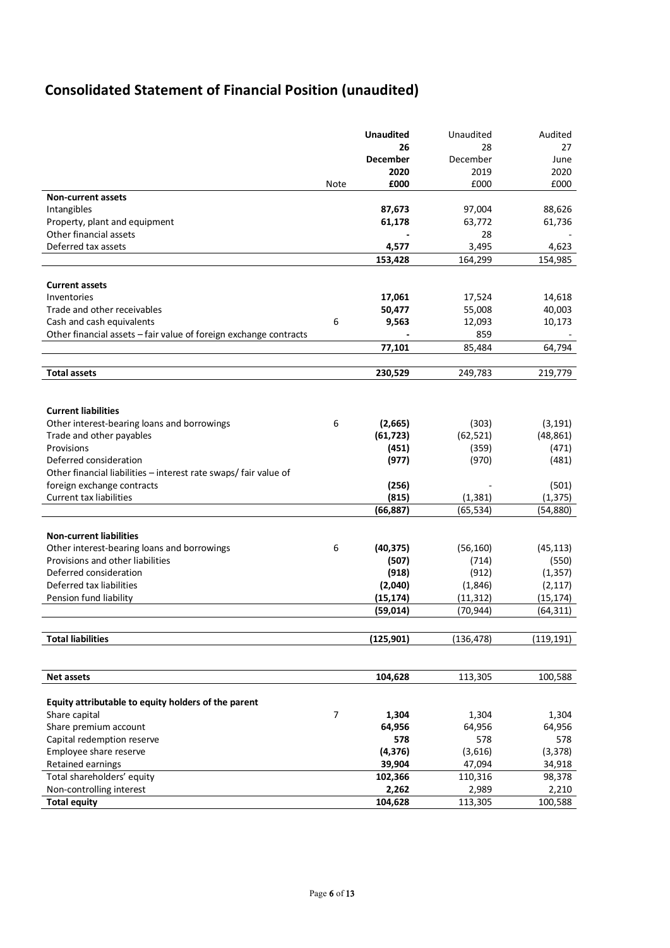# **Consolidated Statement of Financial Position (unaudited)**

|                                                                   |                | <b>Unaudited</b>         | Unaudited  | Audited    |
|-------------------------------------------------------------------|----------------|--------------------------|------------|------------|
|                                                                   |                | 26                       | 28         | 27         |
|                                                                   |                | <b>December</b>          | December   | June       |
|                                                                   |                | 2020                     | 2019       | 2020       |
|                                                                   | <b>Note</b>    | £000                     | £000       | £000       |
| <b>Non-current assets</b>                                         |                |                          |            |            |
| Intangibles                                                       |                | 87,673                   | 97,004     | 88,626     |
| Property, plant and equipment                                     |                | 61,178                   | 63,772     | 61,736     |
| Other financial assets                                            |                |                          | 28         |            |
| Deferred tax assets                                               |                | 4,577                    | 3,495      | 4,623      |
|                                                                   |                | 153,428                  | 164,299    | 154,985    |
|                                                                   |                |                          |            |            |
| <b>Current assets</b>                                             |                |                          |            |            |
| Inventories                                                       |                | 17,061                   | 17,524     | 14,618     |
| Trade and other receivables                                       |                | 50,477                   | 55,008     | 40,003     |
| Cash and cash equivalents                                         | 6              | 9,563                    | 12,093     | 10,173     |
| Other financial assets - fair value of foreign exchange contracts |                | $\overline{\phantom{a}}$ | 859        |            |
|                                                                   |                | 77,101                   | 85,484     | 64,794     |
|                                                                   |                |                          |            |            |
| <b>Total assets</b>                                               |                | 230,529                  | 249,783    | 219,779    |
|                                                                   |                |                          |            |            |
|                                                                   |                |                          |            |            |
| <b>Current liabilities</b>                                        |                |                          |            |            |
| Other interest-bearing loans and borrowings                       | 6              | (2,665)                  | (303)      | (3, 191)   |
| Trade and other payables                                          |                | (61, 723)                | (62, 521)  | (48, 861)  |
| Provisions                                                        |                | (451)                    | (359)      | (471)      |
| Deferred consideration                                            |                | (977)                    | (970)      | (481)      |
| Other financial liabilities - interest rate swaps/ fair value of  |                |                          |            |            |
| foreign exchange contracts                                        |                | (256)                    |            | (501)      |
| <b>Current tax liabilities</b>                                    |                | (815)                    | (1, 381)   | (1, 375)   |
|                                                                   |                | (66, 887)                | (65, 534)  | (54, 880)  |
| <b>Non-current liabilities</b>                                    |                |                          |            |            |
| Other interest-bearing loans and borrowings                       | 6              | (40, 375)                | (56, 160)  | (45, 113)  |
| Provisions and other liabilities                                  |                | (507)                    | (714)      | (550)      |
| Deferred consideration                                            |                | (918)                    | (912)      | (1, 357)   |
| Deferred tax liabilities                                          |                | (2,040)                  | (1,846)    | (2, 117)   |
| Pension fund liability                                            |                | (15, 174)                | (11, 312)  | (15, 174)  |
|                                                                   |                | (59, 014)                | (70, 944)  | (64, 311)  |
|                                                                   |                |                          |            |            |
|                                                                   |                |                          |            |            |
| <b>Total liabilities</b>                                          |                | (125, 901)               | (136, 478) | (119, 191) |
|                                                                   |                |                          |            |            |
| Net assets                                                        |                | 104,628                  | 113,305    | 100,588    |
|                                                                   |                |                          |            |            |
| Equity attributable to equity holders of the parent               |                |                          |            |            |
| Share capital                                                     | $\overline{7}$ | 1,304                    | 1,304      | 1,304      |
| Share premium account                                             |                | 64,956                   | 64,956     | 64,956     |
| Capital redemption reserve                                        |                | 578                      | 578        | 578        |
| Employee share reserve                                            |                | (4, 376)                 | (3,616)    | (3, 378)   |
| Retained earnings                                                 |                | 39,904                   | 47,094     | 34,918     |
| Total shareholders' equity                                        |                | 102,366                  | 110,316    | 98,378     |
| Non-controlling interest                                          |                | 2,262                    | 2,989      | 2,210      |
| <b>Total equity</b>                                               |                | 104,628                  | 113,305    | 100,588    |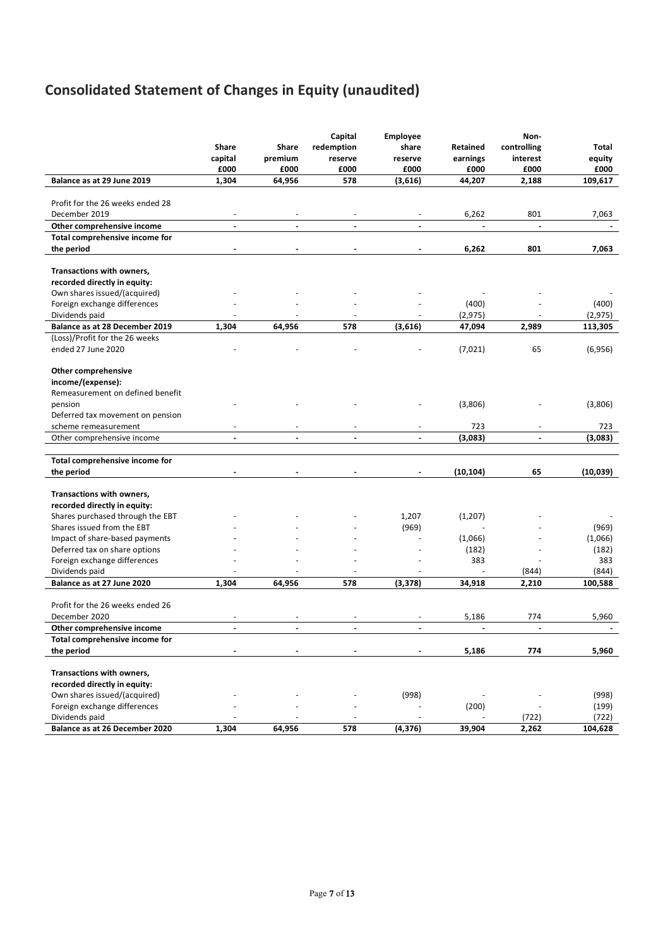# **Consolidated Statement of Changes in Equity (unaudited)**

|                                                       | <b>Share</b>             | Share          | Capital<br>redemption | Employee<br>share | Retained                 | Non-<br>controlling | Total     |
|-------------------------------------------------------|--------------------------|----------------|-----------------------|-------------------|--------------------------|---------------------|-----------|
|                                                       | capital                  | premium        | reserve               | reserve           | earnings                 | interest            | equity    |
|                                                       | £000                     | £000           | £000                  | £000              | £000                     | £000                | £000      |
| Balance as at 29 June 2019                            | 1,304                    | 64,956         | 578                   | (3,616)           | 44,207                   | 2,188               | 109,617   |
|                                                       |                          |                |                       |                   |                          |                     |           |
| Profit for the 26 weeks ended 28                      |                          |                |                       |                   |                          |                     |           |
| December 2019                                         | $\overline{\phantom{a}}$ | $\sim$         | $\blacksquare$        |                   | 6,262                    | 801                 | 7,063     |
| Other comprehensive income                            | $\sim$                   | $\blacksquare$ | $\blacksquare$        | $\blacksquare$    | $\overline{\phantom{a}}$ | $\blacksquare$      |           |
| Total comprehensive income for                        |                          |                |                       |                   |                          |                     |           |
| the period                                            |                          |                |                       |                   | 6,262                    | 801                 | 7,063     |
|                                                       |                          |                |                       |                   |                          |                     |           |
| Transactions with owners,                             |                          |                |                       |                   |                          |                     |           |
| recorded directly in equity:                          |                          |                |                       |                   |                          |                     |           |
| Own shares issued/(acquired)                          |                          |                |                       |                   |                          |                     |           |
| Foreign exchange differences                          |                          |                |                       |                   | (400)                    |                     | (400)     |
| Dividends paid                                        |                          |                |                       |                   | (2, 975)                 |                     | (2, 975)  |
| Balance as at 28 December 2019                        | 1,304                    | 64,956         | 578                   | (3,616)           | 47,094                   | 2,989               | 113,305   |
| (Loss)/Profit for the 26 weeks                        |                          |                |                       |                   |                          |                     |           |
| ended 27 June 2020                                    |                          |                |                       |                   | (7,021)                  | 65                  | (6,956)   |
|                                                       |                          |                |                       |                   |                          |                     |           |
| Other comprehensive                                   |                          |                |                       |                   |                          |                     |           |
| income/(expense):<br>Remeasurement on defined benefit |                          |                |                       |                   |                          |                     |           |
| pension                                               |                          |                |                       |                   | (3,806)                  |                     |           |
| Deferred tax movement on pension                      |                          |                |                       |                   |                          |                     | (3,806)   |
| scheme remeasurement                                  |                          |                |                       |                   | 723                      |                     | 723       |
| Other comprehensive income                            | $\mathbf{r}$             | $\mathbf{r}$   | $\mathbf{r}$          | $\mathbf{r}$      | (3,083)                  | $\mathbf{r}$        | (3,083)   |
|                                                       |                          |                |                       |                   |                          |                     |           |
| Total comprehensive income for                        |                          |                |                       |                   |                          |                     |           |
| the period                                            |                          |                |                       |                   | (10, 104)                | 65                  | (10, 039) |
|                                                       |                          |                |                       |                   |                          |                     |           |
| Transactions with owners,                             |                          |                |                       |                   |                          |                     |           |
| recorded directly in equity:                          |                          |                |                       |                   |                          |                     |           |
| Shares purchased through the EBT                      |                          |                |                       | 1,207             | (1,207)                  |                     |           |
| Shares issued from the EBT                            |                          |                |                       | (969)             |                          |                     | (969)     |
| Impact of share-based payments                        |                          |                |                       |                   | (1,066)                  |                     | (1,066)   |
| Deferred tax on share options                         |                          |                |                       |                   | (182)                    |                     | (182)     |
| Foreign exchange differences                          |                          |                |                       |                   | 383                      |                     | 383       |
| Dividends paid                                        |                          |                |                       |                   |                          | (844)               | (844)     |
| Balance as at 27 June 2020                            | 1,304                    | 64,956         | 578                   | (3, 378)          | 34,918                   | 2,210               | 100,588   |
|                                                       |                          |                |                       |                   |                          |                     |           |
| Profit for the 26 weeks ended 26                      |                          |                |                       |                   |                          |                     |           |
| December 2020                                         |                          |                |                       |                   | 5,186                    | 774                 | 5,960     |
| Other comprehensive income                            |                          |                |                       |                   |                          |                     |           |
| Total comprehensive income for                        |                          |                |                       |                   |                          |                     |           |
| the period                                            |                          |                |                       |                   | 5,186                    | 774                 | 5,960     |
|                                                       |                          |                |                       |                   |                          |                     |           |
| Transactions with owners,                             |                          |                |                       |                   |                          |                     |           |
| recorded directly in equity:                          |                          |                |                       |                   |                          |                     |           |
| Own shares issued/(acquired)                          |                          |                |                       | (998)             |                          |                     | (998)     |
| Foreign exchange differences                          |                          |                |                       |                   | (200)                    |                     | (199)     |
| Dividends paid                                        |                          |                |                       |                   |                          | (722)               | (722)     |
| Balance as at 26 December 2020                        | 1,304                    | 64,956         | 578                   | (4, 376)          | 39,904                   | 2,262               | 104,628   |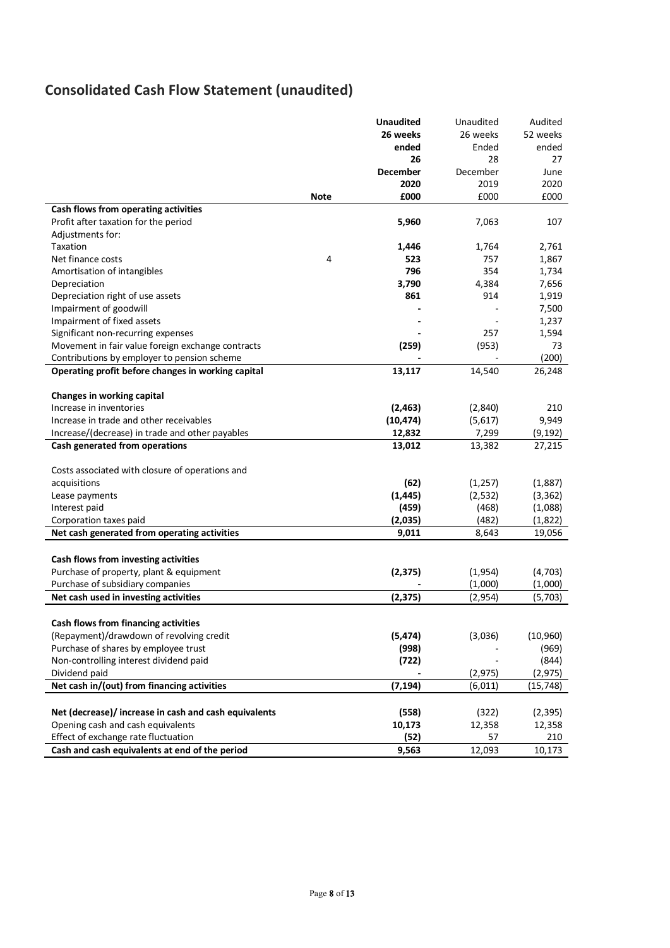# **Consolidated Cash Flow Statement (unaudited)**

| 26 weeks<br>26 weeks<br>52 weeks<br>ended<br>Ended<br>ended<br>26<br>27<br>28<br><b>December</b><br>December<br>June<br>2020<br>2019<br>2020<br>£000<br>£000<br><b>Note</b><br>£000<br>Cash flows from operating activities<br>Profit after taxation for the period<br>5,960<br>7,063<br>107<br>Adjustments for:<br>Taxation<br>1,446<br>1,764<br>2,761<br>Net finance costs<br>4<br>1,867<br>523<br>757<br>796<br>354<br>1,734<br>Amortisation of intangibles<br>3,790<br>4,384<br>7,656<br>Depreciation<br>861<br>914<br>1,919<br>Depreciation right of use assets<br>7,500<br>Impairment of goodwill<br>Impairment of fixed assets<br>1,237 |
|------------------------------------------------------------------------------------------------------------------------------------------------------------------------------------------------------------------------------------------------------------------------------------------------------------------------------------------------------------------------------------------------------------------------------------------------------------------------------------------------------------------------------------------------------------------------------------------------------------------------------------------------|
|                                                                                                                                                                                                                                                                                                                                                                                                                                                                                                                                                                                                                                                |
|                                                                                                                                                                                                                                                                                                                                                                                                                                                                                                                                                                                                                                                |
|                                                                                                                                                                                                                                                                                                                                                                                                                                                                                                                                                                                                                                                |
|                                                                                                                                                                                                                                                                                                                                                                                                                                                                                                                                                                                                                                                |
|                                                                                                                                                                                                                                                                                                                                                                                                                                                                                                                                                                                                                                                |
|                                                                                                                                                                                                                                                                                                                                                                                                                                                                                                                                                                                                                                                |
|                                                                                                                                                                                                                                                                                                                                                                                                                                                                                                                                                                                                                                                |
|                                                                                                                                                                                                                                                                                                                                                                                                                                                                                                                                                                                                                                                |
|                                                                                                                                                                                                                                                                                                                                                                                                                                                                                                                                                                                                                                                |
|                                                                                                                                                                                                                                                                                                                                                                                                                                                                                                                                                                                                                                                |
|                                                                                                                                                                                                                                                                                                                                                                                                                                                                                                                                                                                                                                                |
|                                                                                                                                                                                                                                                                                                                                                                                                                                                                                                                                                                                                                                                |
|                                                                                                                                                                                                                                                                                                                                                                                                                                                                                                                                                                                                                                                |
|                                                                                                                                                                                                                                                                                                                                                                                                                                                                                                                                                                                                                                                |
|                                                                                                                                                                                                                                                                                                                                                                                                                                                                                                                                                                                                                                                |
|                                                                                                                                                                                                                                                                                                                                                                                                                                                                                                                                                                                                                                                |
| Significant non-recurring expenses<br>1,594<br>257                                                                                                                                                                                                                                                                                                                                                                                                                                                                                                                                                                                             |
| Movement in fair value foreign exchange contracts<br>(259)<br>(953)<br>73                                                                                                                                                                                                                                                                                                                                                                                                                                                                                                                                                                      |
| (200)<br>Contributions by employer to pension scheme                                                                                                                                                                                                                                                                                                                                                                                                                                                                                                                                                                                           |
| 14,540<br>Operating profit before changes in working capital<br>13,117<br>26,248                                                                                                                                                                                                                                                                                                                                                                                                                                                                                                                                                               |
|                                                                                                                                                                                                                                                                                                                                                                                                                                                                                                                                                                                                                                                |
| Changes in working capital                                                                                                                                                                                                                                                                                                                                                                                                                                                                                                                                                                                                                     |
| Increase in inventories<br>(2, 463)<br>(2,840)<br>210                                                                                                                                                                                                                                                                                                                                                                                                                                                                                                                                                                                          |
| Increase in trade and other receivables<br>(10, 474)<br>9,949<br>(5,617)                                                                                                                                                                                                                                                                                                                                                                                                                                                                                                                                                                       |
| 12,832<br>7,299<br>(9, 192)<br>Increase/(decrease) in trade and other payables                                                                                                                                                                                                                                                                                                                                                                                                                                                                                                                                                                 |
| Cash generated from operations<br>13,012<br>13,382<br>27,215                                                                                                                                                                                                                                                                                                                                                                                                                                                                                                                                                                                   |
|                                                                                                                                                                                                                                                                                                                                                                                                                                                                                                                                                                                                                                                |
| Costs associated with closure of operations and                                                                                                                                                                                                                                                                                                                                                                                                                                                                                                                                                                                                |
| (62)<br>acquisitions<br>(1, 257)<br>(1,887)                                                                                                                                                                                                                                                                                                                                                                                                                                                                                                                                                                                                    |
| (1, 445)<br>(2,532)<br>(3, 362)<br>Lease payments                                                                                                                                                                                                                                                                                                                                                                                                                                                                                                                                                                                              |
| (459)<br>Interest paid<br>(468)<br>(1,088)                                                                                                                                                                                                                                                                                                                                                                                                                                                                                                                                                                                                     |
| (2,035)<br>Corporation taxes paid<br>(482)<br>(1,822)                                                                                                                                                                                                                                                                                                                                                                                                                                                                                                                                                                                          |
| Net cash generated from operating activities<br>9,011<br>8,643<br>19,056                                                                                                                                                                                                                                                                                                                                                                                                                                                                                                                                                                       |
|                                                                                                                                                                                                                                                                                                                                                                                                                                                                                                                                                                                                                                                |
| Cash flows from investing activities                                                                                                                                                                                                                                                                                                                                                                                                                                                                                                                                                                                                           |
| Purchase of property, plant & equipment<br>(2, 375)<br>(1,954)<br>(4, 703)                                                                                                                                                                                                                                                                                                                                                                                                                                                                                                                                                                     |
| Purchase of subsidiary companies<br>(1,000)<br>(1,000)                                                                                                                                                                                                                                                                                                                                                                                                                                                                                                                                                                                         |
| Net cash used in investing activities<br>(2, 375)<br>(2,954)<br>(5,703)                                                                                                                                                                                                                                                                                                                                                                                                                                                                                                                                                                        |
|                                                                                                                                                                                                                                                                                                                                                                                                                                                                                                                                                                                                                                                |
| Cash flows from financing activities                                                                                                                                                                                                                                                                                                                                                                                                                                                                                                                                                                                                           |
| (Repayment)/drawdown of revolving credit<br>(5, 474)<br>(10, 960)<br>(3,036)                                                                                                                                                                                                                                                                                                                                                                                                                                                                                                                                                                   |
| Purchase of shares by employee trust<br>(998)<br>(969)                                                                                                                                                                                                                                                                                                                                                                                                                                                                                                                                                                                         |
| Non-controlling interest dividend paid<br>(722)<br>(844)                                                                                                                                                                                                                                                                                                                                                                                                                                                                                                                                                                                       |
| Dividend paid<br>(2, 975)<br>(2, 975)                                                                                                                                                                                                                                                                                                                                                                                                                                                                                                                                                                                                          |
| Net cash in/(out) from financing activities<br>(7, 194)<br>(6,011)<br>(15, 748)                                                                                                                                                                                                                                                                                                                                                                                                                                                                                                                                                                |
|                                                                                                                                                                                                                                                                                                                                                                                                                                                                                                                                                                                                                                                |
| Net (decrease)/ increase in cash and cash equivalents<br>(558)<br>(322)<br>(2, 395)                                                                                                                                                                                                                                                                                                                                                                                                                                                                                                                                                            |
| Opening cash and cash equivalents<br>10,173<br>12,358<br>12,358                                                                                                                                                                                                                                                                                                                                                                                                                                                                                                                                                                                |
| Effect of exchange rate fluctuation<br>(52)<br>57<br>210                                                                                                                                                                                                                                                                                                                                                                                                                                                                                                                                                                                       |
| Cash and cash equivalents at end of the period<br>9,563<br>12,093<br>10,173                                                                                                                                                                                                                                                                                                                                                                                                                                                                                                                                                                    |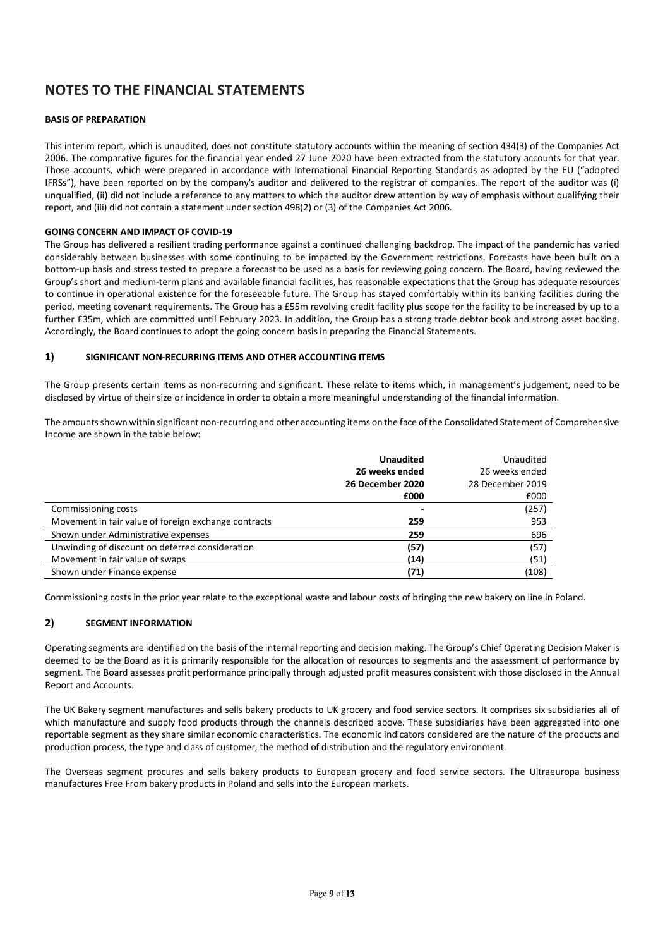# **NOTES TO THE FINANCIAL STATEMENTS**

### **BASIS OF PREPARATION**

This interim report, which is unaudited, does not constitute statutory accounts within the meaning of section 434(3) of the Companies Act 2006. The comparative figures for the financial year ended 27 June 2020 have been extracted from the statutory accounts for that year. Those accounts, which were prepared in accordance with International Financial Reporting Standards as adopted by the EU ("adopted IFRSs"), have been reported on by the company's auditor and delivered to the registrar of companies. The report of the auditor was (i) unqualified, (ii) did not include a reference to any matters to which the auditor drew attention by way of emphasis without qualifying their report, and (iii) did not contain a statement under section 498(2) or (3) of the Companies Act 2006.

### **GOING CONCERN AND IMPACT OF COVID-19**

The Group has delivered a resilient trading performance against a continued challenging backdrop. The impact of the pandemic has varied considerably between businesses with some continuing to be impacted by the Government restrictions. Forecasts have been built on a bottom-up basis and stress tested to prepare a forecast to be used as a basis for reviewing going concern. The Board, having reviewed the Group's short and medium-term plans and available financial facilities, has reasonable expectations that the Group has adequate resources to continue in operational existence for the foreseeable future. The Group has stayed comfortably within its banking facilities during the period, meeting covenant requirements. The Group has a £55m revolving credit facility plus scope for the facility to be increased by up to a further £35m, which are committed until February 2023. In addition, the Group has a strong trade debtor book and strong asset backing. Accordingly, the Board continues to adopt the going concern basis in preparing the Financial Statements.

### **1) SIGNIFICANT NON-RECURRING ITEMS AND OTHER ACCOUNTING ITEMS**

The Group presents certain items as non-recurring and significant. These relate to items which, in management's judgement, need to be disclosed by virtue of their size or incidence in order to obtain a more meaningful understanding of the financial information.

The amounts shown within significant non-recurring and other accounting items on the face of the Consolidated Statement of Comprehensive Income are shown in the table below:

|                                                      | <b>Unaudited</b> | Unaudited        |
|------------------------------------------------------|------------------|------------------|
|                                                      | 26 weeks ended   | 26 weeks ended   |
|                                                      | 26 December 2020 | 28 December 2019 |
|                                                      | £000             | £000             |
| Commissioning costs                                  |                  | (257)            |
| Movement in fair value of foreign exchange contracts | 259              | 953              |
| Shown under Administrative expenses                  | 259              | 696              |
| Unwinding of discount on deferred consideration      | (57)             | (57)             |
| Movement in fair value of swaps                      | (14)             | (51)             |
| Shown under Finance expense                          | (71)             | (108)            |

Commissioning costs in the prior year relate to the exceptional waste and labour costs of bringing the new bakery on line in Poland.

# **2) SEGMENT INFORMATION**

Operating segments are identified on the basis of the internal reporting and decision making. The Group's Chief Operating Decision Maker is deemed to be the Board as it is primarily responsible for the allocation of resources to segments and the assessment of performance by segment. The Board assesses profit performance principally through adjusted profit measures consistent with those disclosed in the Annual Report and Accounts.

The UK Bakery segment manufactures and sells bakery products to UK grocery and food service sectors. It comprises six subsidiaries all of which manufacture and supply food products through the channels described above. These subsidiaries have been aggregated into one reportable segment as they share similar economic characteristics. The economic indicators considered are the nature of the products and production process, the type and class of customer, the method of distribution and the regulatory environment.

The Overseas segment procures and sells bakery products to European grocery and food service sectors. The Ultraeuropa business manufactures Free From bakery products in Poland and sells into the European markets.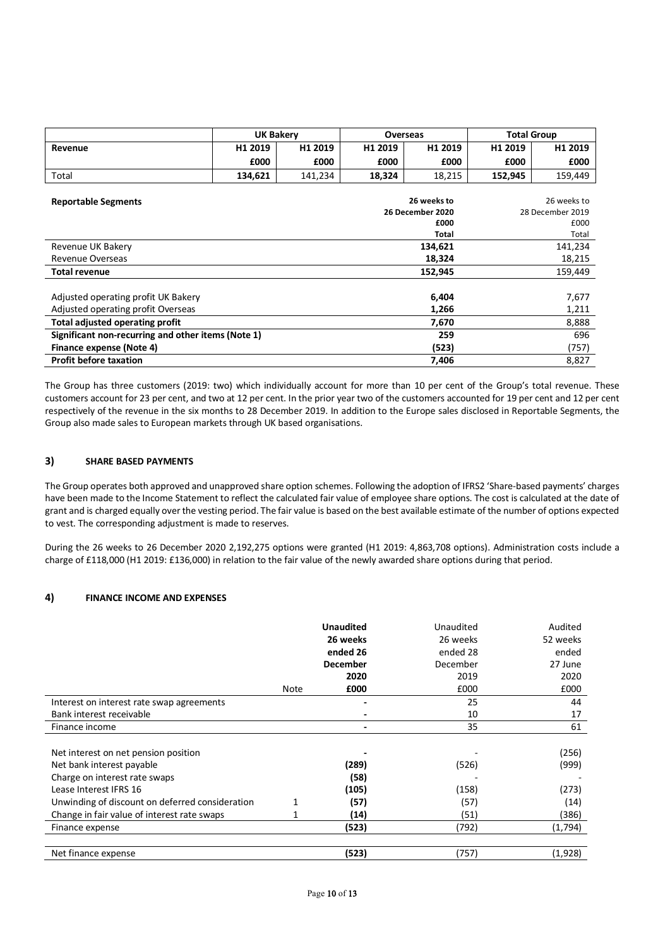|                                     |                                                    | <b>UK Bakery</b><br><b>Overseas</b> |         | <b>Total Group</b> |         |                  |  |
|-------------------------------------|----------------------------------------------------|-------------------------------------|---------|--------------------|---------|------------------|--|
| Revenue                             | H1 2019                                            | H1 2019                             | H1 2019 | H1 2019            | H1 2019 | H1 2019          |  |
|                                     | £000                                               | £000                                | £000    | £000               | £000    | £000             |  |
| Total                               | 134,621                                            | 141,234                             | 18,324  | 18,215             | 152,945 | 159,449          |  |
|                                     |                                                    |                                     |         |                    |         |                  |  |
| <b>Reportable Segments</b>          |                                                    |                                     |         | 26 weeks to        |         | 26 weeks to      |  |
|                                     |                                                    |                                     |         | 26 December 2020   |         | 28 December 2019 |  |
|                                     |                                                    |                                     |         | £000               |         | £000             |  |
|                                     |                                                    |                                     |         | <b>Total</b>       | Total   |                  |  |
| Revenue UK Bakery                   |                                                    |                                     |         | 134,621            | 141,234 |                  |  |
| Revenue Overseas                    |                                                    |                                     |         | 18,324             | 18,215  |                  |  |
| <b>Total revenue</b>                |                                                    |                                     |         | 152,945            |         | 159,449          |  |
|                                     |                                                    |                                     |         |                    |         |                  |  |
| Adjusted operating profit UK Bakery |                                                    |                                     |         | 6,404              |         | 7,677            |  |
| Adjusted operating profit Overseas  |                                                    |                                     |         | 1,266              | 1,211   |                  |  |
| Total adjusted operating profit     |                                                    |                                     |         | 7,670              |         | 8,888            |  |
|                                     | Significant non-recurring and other items (Note 1) |                                     |         | 259                |         | 696              |  |
| Finance expense (Note 4)            |                                                    |                                     |         | (523)              |         | (757)            |  |
| <b>Profit before taxation</b>       |                                                    |                                     |         | 7,406              |         | 8,827            |  |

The Group has three customers (2019: two) which individually account for more than 10 per cent of the Group's total revenue. These customers account for 23 per cent, and two at 12 per cent. In the prior year two of the customers accounted for 19 per cent and 12 per cent respectively of the revenue in the six months to 28 December 2019. In addition to the Europe sales disclosed in Reportable Segments, the Group also made sales to European markets through UK based organisations.

### **3) SHARE BASED PAYMENTS**

The Group operates both approved and unapproved share option schemes. Following the adoption of IFRS2 'Share-based payments' charges have been made to the Income Statement to reflect the calculated fair value of employee share options. The cost is calculated at the date of grant and is charged equally over the vesting period. The fair value is based on the best available estimate of the number of options expected to vest. The corresponding adjustment is made to reserves.

During the 26 weeks to 26 December 2020 2,192,275 options were granted (H1 2019: 4,863,708 options). Administration costs include a charge of £118,000 (H1 2019: £136,000) in relation to the fair value of the newly awarded share options during that period.

# **4) FINANCE INCOME AND EXPENSES**

|                                                                                                    |      | <b>Unaudited</b><br>26 weeks<br>ended 26 | Unaudited<br>26 weeks<br>ended 28 | Audited<br>52 weeks<br>ended |
|----------------------------------------------------------------------------------------------------|------|------------------------------------------|-----------------------------------|------------------------------|
|                                                                                                    |      | <b>December</b><br>2020                  | December<br>2019                  | 27 June<br>2020              |
|                                                                                                    | Note | £000                                     | £000                              | £000                         |
| Interest on interest rate swap agreements                                                          |      |                                          | 25                                | 44                           |
| Bank interest receivable                                                                           |      |                                          | 10                                | 17                           |
| Finance income                                                                                     |      | $\blacksquare$                           | 35                                | 61                           |
| Net interest on net pension position<br>Net bank interest payable<br>Charge on interest rate swaps |      | (289)<br>(58)                            | (526)                             | (256)<br>(999)               |
| Lease Interest IFRS 16                                                                             |      | (105)                                    | (158)                             | (273)                        |
| Unwinding of discount on deferred consideration                                                    |      | (57)                                     | (57)                              | (14)                         |
| Change in fair value of interest rate swaps                                                        |      | (14)                                     | (51)                              | (386)                        |
| Finance expense                                                                                    |      | (523)                                    | (792)                             | (1,794)                      |
| Net finance expense                                                                                |      | (523)                                    | (757)                             | (1,928)                      |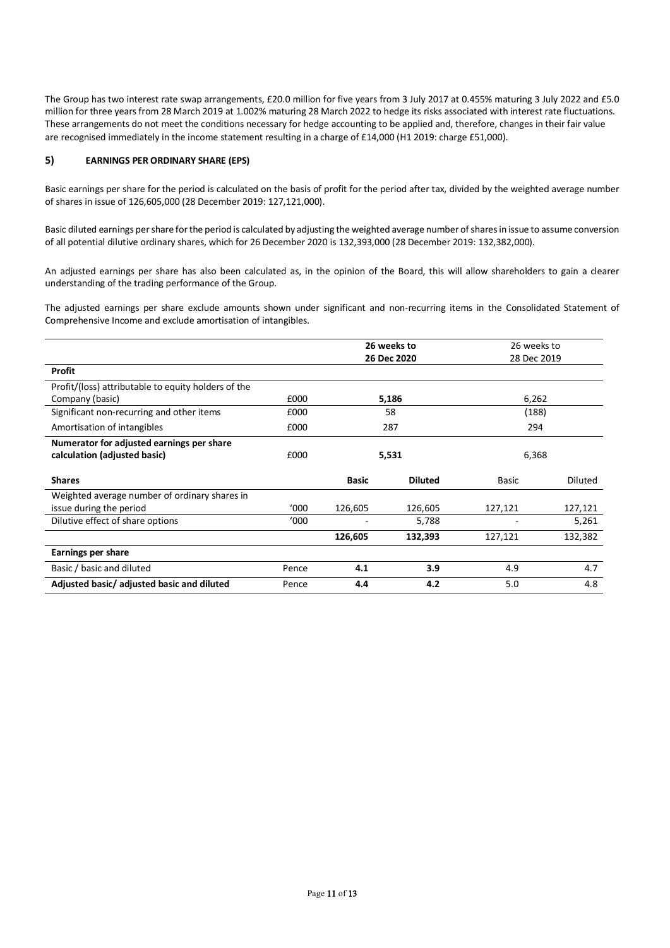The Group has two interest rate swap arrangements, £20.0 million for five years from 3 July 2017 at 0.455% maturing 3 July 2022 and £5.0 million for three years from 28 March 2019 at 1.002% maturing 28 March 2022 to hedge its risks associated with interest rate fluctuations. These arrangements do not meet the conditions necessary for hedge accounting to be applied and, therefore, changes in their fair value are recognised immediately in the income statement resulting in a charge of £14,000 (H1 2019: charge £51,000).

### **5) EARNINGS PER ORDINARY SHARE (EPS)**

Basic earnings per share for the period is calculated on the basis of profit for the period after tax, divided by the weighted average number of shares in issue of 126,605,000 (28 December 2019: 127,121,000).

Basic diluted earnings per share for the period is calculated by adjusting the weighted average number of shares in issue to assume conversion of all potential dilutive ordinary shares, which for 26 December 2020 is 132,393,000 (28 December 2019: 132,382,000).

An adjusted earnings per share has also been calculated as, in the opinion of the Board, this will allow shareholders to gain a clearer understanding of the trading performance of the Group.

The adjusted earnings per share exclude amounts shown under significant and non-recurring items in the Consolidated Statement of Comprehensive Income and exclude amortisation of intangibles.

|                                                     | 26 weeks to |              |                | 26 weeks to  |                |
|-----------------------------------------------------|-------------|--------------|----------------|--------------|----------------|
|                                                     | 26 Dec 2020 |              |                | 28 Dec 2019  |                |
| <b>Profit</b>                                       |             |              |                |              |                |
| Profit/(loss) attributable to equity holders of the |             |              |                |              |                |
| Company (basic)                                     | £000        |              | 5,186          | 6,262        |                |
| Significant non-recurring and other items           | £000        |              | 58             | (188)        |                |
| Amortisation of intangibles                         | £000        |              | 287<br>294     |              |                |
| Numerator for adjusted earnings per share           |             |              |                |              |                |
| calculation (adjusted basic)                        | £000        | 5,531        |                | 6,368        |                |
| <b>Shares</b>                                       |             | <b>Basic</b> | <b>Diluted</b> | <b>Basic</b> | <b>Diluted</b> |
| Weighted average number of ordinary shares in       |             |              |                |              |                |
| issue during the period                             | '000        | 126,605      | 126,605        | 127,121      | 127,121        |
| Dilutive effect of share options                    | '000        |              | 5,788          |              | 5,261          |
|                                                     |             | 126,605      | 132,393        | 127,121      | 132,382        |
| Earnings per share                                  |             |              |                |              |                |
| Basic / basic and diluted                           | Pence       | 4.1          | 3.9            | 4.9          | 4.7            |
| Adjusted basic/ adjusted basic and diluted          | Pence       | 4.4          | 4.2            | 5.0          | 4.8            |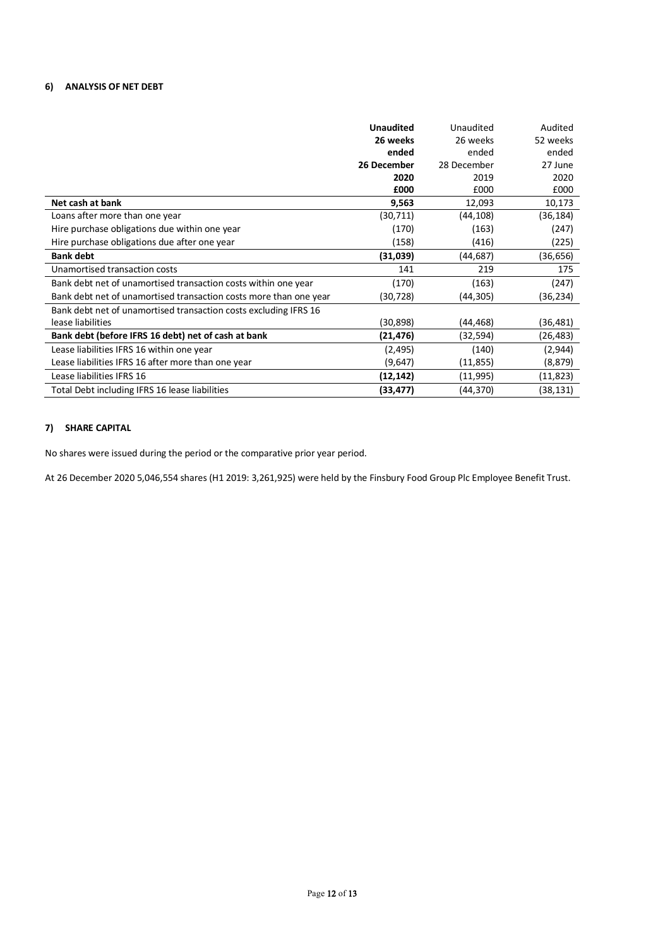# **6) ANALYSIS OF NET DEBT**

|                                                                   | <b>Unaudited</b> | Unaudited   | Audited  |
|-------------------------------------------------------------------|------------------|-------------|----------|
|                                                                   | 26 weeks         | 26 weeks    | 52 weeks |
|                                                                   | ended            | ended       | ended    |
|                                                                   | 26 December      | 28 December | 27 June  |
|                                                                   | 2020             | 2019        | 2020     |
|                                                                   | £000             | £000        | £000     |
| Net cash at bank                                                  | 9,563            | 12,093      | 10,173   |
| Loans after more than one year                                    | (30,711)         | (44,108)    | (36,184) |
| Hire purchase obligations due within one year                     | (170)            | (163)       | (247)    |
| Hire purchase obligations due after one year                      | (158)            | (416)       | (225)    |
| <b>Bank debt</b>                                                  | (31,039)         | (44,687)    | (36,656) |
| Unamortised transaction costs                                     | 141              | 219         | 175      |
| Bank debt net of unamortised transaction costs within one year    | (170)            | (163)       | (247)    |
| Bank debt net of unamortised transaction costs more than one year | (30,728)         | (44,305)    | (36,234) |
| Bank debt net of unamortised transaction costs excluding IFRS 16  |                  |             |          |
| lease liabilities                                                 | (30, 898)        | (44,468)    | (36,481) |
| Bank debt (before IFRS 16 debt) net of cash at bank               | (21,476)         | (32,594)    | (26,483) |
| Lease liabilities IFRS 16 within one year                         | (2,495)          | (140)       | (2,944)  |
| Lease liabilities IFRS 16 after more than one year                | (9,647)          | (11, 855)   | (8,879)  |
| Lease liabilities IFRS 16                                         | (12,142)         | (11, 995)   | (11,823) |
| Total Debt including IFRS 16 lease liabilities                    | (33,477)         | (44,370)    | (38,131) |

# **7) SHARE CAPITAL**

No shares were issued during the period or the comparative prior year period.

At 26 December 2020 5,046,554 shares (H1 2019: 3,261,925) were held by the Finsbury Food Group Plc Employee Benefit Trust.